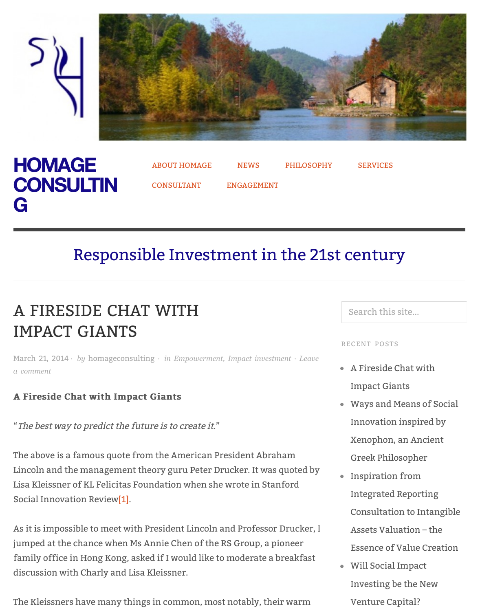



## [Respo](http://homageconsulting.com/)nsib[le Invest](http://homageconsulting.com/about/)m[ent](http://homageconsulting.com/news/) in [the 21s](http://homageconsulting.com/philosophy/)t c[entur](http://homageconsulting.com/services/)y

# A FIRESIDE CHAT WITH IMPACT GIANTS

March 21, 2014 *· by* homageconsulting *· in Empowerment, Impact investment · Leave a comment*

#### A Fireside Chat with Impact Giants

"The best way to predict the future is to create it."

[The above is a famous quote from the American President Abraham](http://homageconsulting.com/2014/03/21/a-fireside-chat-with-impact-giants/#respond) Lincoln and the management theory guru Peter Drucker. It was quoted by Lisa Kleissner of KL Felicitas Foundation when she wrote in Stanford Social Innovation Review<sup>[1]</sup>.

As it is impossible to meet with President Lincoln and Professor Drucker, I jumped at the chance when Ms Annie Chen of the RS Group, a pioneer family office in Hong Kong, asked if I would like to moderate a breakfast discussion with Charly and Lisa Kleissner.

The Kleissners have many things in common, most notably, their warm

#### Search this sit

RECENT POSTS

- $\bullet$  A Fireside Cha Impact Giants
	- Ways and Mea Innovation in Xenophon, an
	- Greek Philoso
- $\bullet$  Inspiration fr Integrated Report Consultation t
	- Assets Valuati Essence of Value
- Will Social Im Investing be t Venture Capit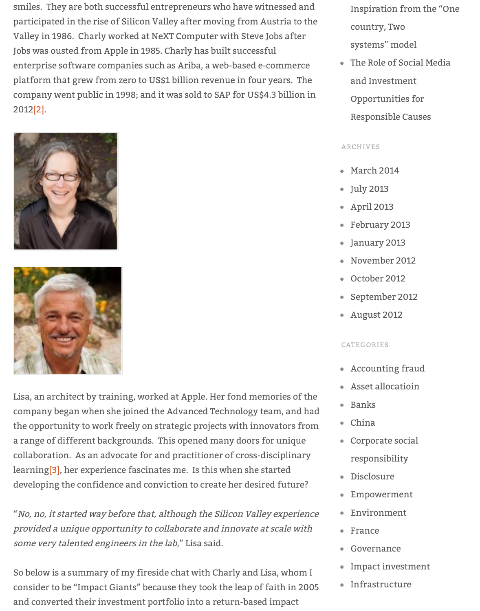platform that grew from zero to US\$1 billion revenue in four years. The company went public in 1998; and it was sold to SAP for US\$4.3 billion in 2012[2].





Lisa, an architect by training, worked at Apple. Her fond memories of the [company began when she joined the Advanced Technology team, and had](http://homageconsulting.files.wordpress.com/2014/03/charly-2.jpeg) the opportunity to work freely on strategic projects with innovators from a range of different backgrounds. This opened many doors for unique collaboration. As an advocate for and practitioner of cross-disciplinary learning[3], her experience fascinates me. Is this when she started developing the confidence and conviction to create her desired future?

"No, no, it started way before that, although the Silicon Valley experience provided a unique opportunity to collaborate and innovate at scale with some ver[y](http://homageconsulting.com/2014/03/21/a-fireside-chat-with-impact-giants/#_ftn3) talented engineers in the lab," Lisa said.

So below is a summary of my fireside chat with Charly and Lisa, whom I consider to be "Impact Giants" because they took the leap of faith in 2005 and converted their investment portfolio into a return-based impact

waa waa dhij waxay iyo waxay iyo waxay iyo waxay iyo waxay iyo waxay iyo waxay iyo waxay iyo waxay iyo waxay i Opportunities

Responsible C

#### ARCHIVES

- [March 2014](http://homageconsulting.com/2013/01/06/the-role-of-social-media-and-investment-opportunities-for-responsible-causes/)
- July 2013
- April 2013
- February 2013
- January 2013
- [November 2](http://homageconsulting.com/2014/03/)01
- [October 2](http://homageconsulting.com/2013/07/)012
- [September](http://homageconsulting.com/2013/04/) 20
- [August 2012](http://homageconsulting.com/2013/02/)

#### C[ATEGORIES](http://homageconsulting.com/2012/11/)

- [Accounting fr](http://homageconsulting.com/2012/10/)
- Asset allocation
- [Banks](http://homageconsulting.com/2012/08/)
- China
- Corporate soc
	- [responsibility](http://homageconsulting.com/category/accounting-fraud/)
- [Disclosure](http://homageconsulting.com/category/asset-allocatioin/)
- [Empow](http://homageconsulting.com/category/banks/)ermen
- [Enviro](http://homageconsulting.com/category/china/)nment
- [France](http://homageconsulting.com/category/corporate-social-responsibility/)
- Governance
- [Impact inv](http://homageconsulting.com/category/disclosure/)est
- [Infrastructure](http://homageconsulting.com/category/empowerment/)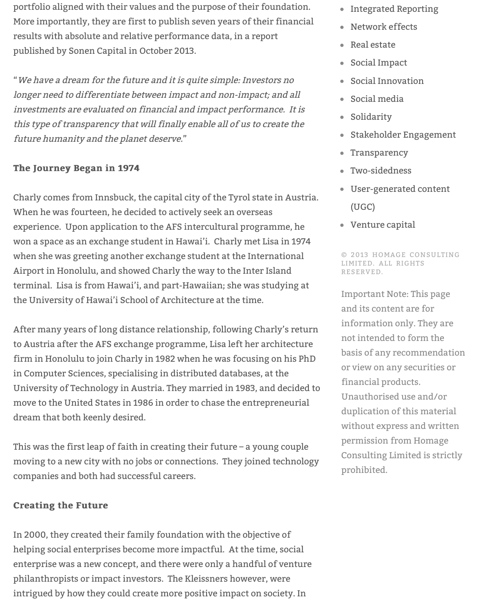$\mathcal{M}$  we have a dream for the future and it is quite simple: Investors no it is quite simple: Investors no it is  $\mathcal{M}$ longer need to differentiate between impact and non-impact; and all investments are evaluated on financial and impact performance. It is this type of transparency that will finally enable all of us to create the future humanity and the planet deserve."

#### The Journey Began in 1974

Charly comes from Innsbuck, the capital city of the Tyrol state in Austria. When he was fourteen, he decided to actively seek an overseas experience. Upon application to the AFS intercultural programme, he won a space as an exchange student in Hawai'i. Charly met Lisa in 1974 when she was greeting another exchange student at the International Airport in Honolulu, and showed Charly the way to the Inter Island terminal. Lisa is from Hawai'i, and part-Hawaiian; she was studying at the University of Hawai'i School of Architecture at the time.

After many years of long distance relationship, following Charly's return to Austria after the AFS exchange programme, Lisa left her architecture firm in Honolulu to join Charly in 1982 when he was focusing on his PhD in Computer Sciences, specialising in distributed databases, at the University of Technology in Austria. They married in 1983, and decided to move to the United States in 1986 in order to chase the entrepreneurial dream that both keenly desired.

This was the first leap of faith in creating their future – a young couple moving to a new city with no jobs or connections. They joined technology companies and both had successful careers.

#### **Creating the Future**

In 2000, they created their family foundation with the objective of helping social enterprises become more impactful. At the time, social enterprise was a new concept, and there were only a handful of venture philanthropists or impact investors. The Kleissners however, were intrigued by how they could create more positive impact on society. In

- social interesting the state of the state of the state  $\sim$
- [Social media](http://homageconsulting.com/category/integrated-reporting/)
- [Solidarity](http://homageconsulting.com/category/network-effects/)
- [Stakeholde](http://homageconsulting.com/category/real-estate/)r E
- [Transparency](http://homageconsulting.com/category/social-impact/)
- Two-sidednes
- $\bullet$  [User-generat](http://homageconsulting.com/category/social-media/)e [\(UGC\)](http://homageconsulting.com/category/solidarity/)
- $\bullet$  Venture capit

 $©$  2013 HOMAGE LIMITED. ALL RIG RESERVED.

Important Note: and its content a information onl not intended to basis of any reco or view on any s financial produc Unauthorised us duplication of th without express permission from Consulting Limi prohibited.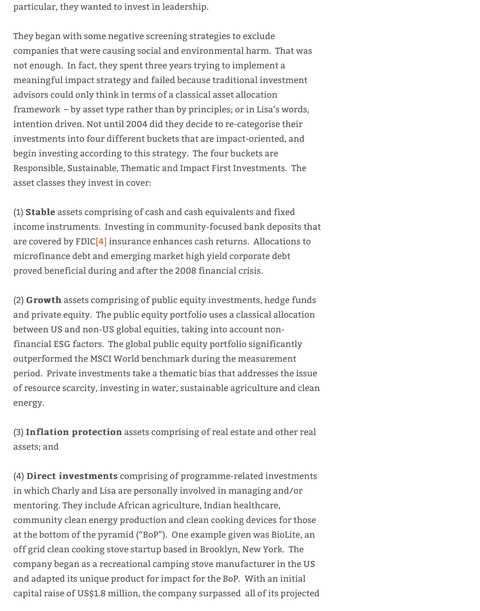meaningful impact strategy and failed because traditional investment advisors could only think in terms of a classical asset allocation framework – by asset type rather than by principles; or in Lisa's words, intention driven. Not until 2004 did they decide to re-categorise their investments into four different buckets that are impact-oriented, and begin investing according to this strategy. The four buckets are Responsible, Sustainable, Thematic and Impact First Investments. The asset classes they invest in cover:

(1) Stable assets comprising of cash and cash equivalents and fixed income instruments. Investing in community-focused bank deposits that are covered by FDIC[4] insurance enhances cash returns. Allocations to microfinance debt and emerging market high yield corporate debt proved beneficial during and after the 2008 financial crisis.

(2) Growth assets comprising of public equity investments, hedge funds and private equity. The public equity portfolio uses a classical allocation between US and no[n-U](http://homageconsulting.com/2014/03/21/a-fireside-chat-with-impact-giants/#_ftn4)S global equities, taking into account nonfinancial ESG factors. The global public equity portfolio significantly outperformed the MSCI World benchmark during the measurement period. Private investments take a thematic bias that addresses the issue of resource scarcity, investing in water, sustainable agriculture and clean energy.

(3) Inflation protection assets comprising of real estate and other real assets; and

(4) Direct investments comprising of programme-related investments in which Charly and Lisa are personally involved in managing and/or mentoring. They include African agriculture, Indian healthcare, community clean energy production and clean cooking devices for those at the bottom of the pyramid ("BoP"). One example given was BioLite, an off grid clean cooking stove startup based in Brooklyn, New York. The company began as a recreational camping stove manufacturer in the US and adapted its unique product for impact for the BoP. With an initial capital raise of US\$1.8 million, the company surpassed all of its projected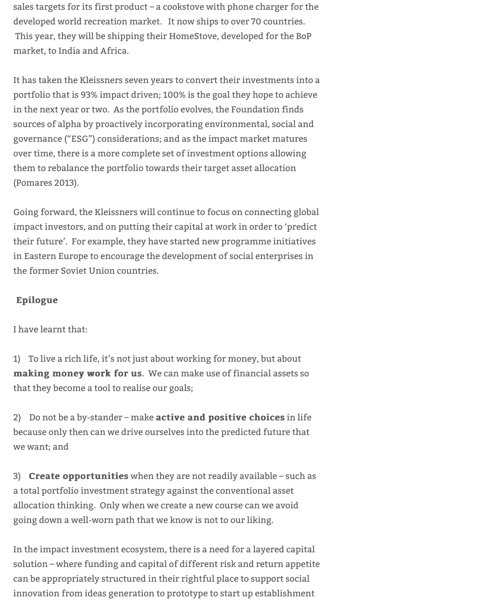sales targets for its first product – a cookstove with phone charger for the developed world recreation market. It now ships to over 70 countries. This year, they will be shipping their HomeStove, developed for the BoP market, to India and Africa.

It has taken the Kleissners seven years to convert their investments into a portfolio that is 93% impact driven; 100% is the goal they hope to achieve in the next year or two. As the portfolio evolves, the Foundation finds sources of alpha by proactively incorporating environmental, social and governance ("ESG") considerations; and as the impact market matures over time, there is a more complete set of investment options allowing them to rebalance the portfolio towards their target asset allocation (Pomares 2013).

Going forward, the Kleissners will continue to focus on connecting global impact investors, and on putting their capital at work in order to 'predict their future'. For example, they have started new programme initiatives in Eastern Europe to encourage the development of social enterprises in the former Soviet Union countries.

#### Epilogue Epilogue

#### I have learnt that:

1) To live a rich life, it's not just about working for money, but about making money work for us. We can make use of financial assets so that they become a tool to realise our goals;

2) Do not be a by-stander – make **active and positive choices** in life because only then can we drive ourselves into the predicted future that we want; and

3) Create opportunities when they are not readily available – such as a total portfolio investment strategy against the conventional asset allocation thinking. Only when we create a new course can we avoid going down a well-worn path that we know is not to our liking.

In the impact investment ecosystem, there is a need for a layered capital solution – where funding and capital of different risk and return appetite can be appropriately structured in their rightful place to support social innovation from ideas generation to prototype to start up establishment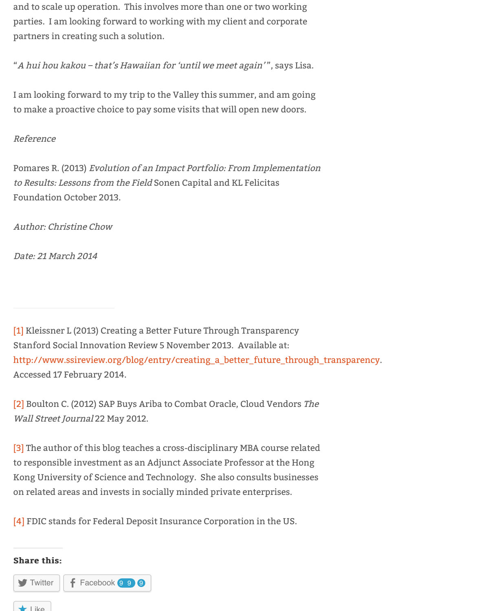I am looking forward to my trip to the Valley this summer, and am going to make a proactive choice to pay some visits that will open new doors.

#### Reference

Pomares R. (2013) Evolution of an Impact Portfolio: From Implementation to Results: Lessons from the Field Sonen Capital and KL Felicitas Foundation October 2013.

Author: Christine Chow

Date: 21 March 2014

[1] Kleissner L (2013) Creating a Better Future Through Transparency Stanford Social Innovation Review 5 November 2013. Available at: http://www.ssireview.org/blog/entry/creating\_a\_better\_future\_through\_transparency. Accessed 17 February 2014.

[2] Boulton C. (2012) SAP Buys Ariba to Combat Oracle, Cloud Vendors The [Wa](http://homageconsulting.com/2014/03/21/a-fireside-chat-with-impact-giants/#_ftnref1)ll Street Journal 22 May 2012.

[\[3\] The author of this blog teaches a cross-disciplinary MBA course related](http://www.ssireview.org/blog/entry/creating_a_better_future_through_transparency) to responsible investment as an Adjunct Associate Professor at the Hong Kong University of Science and Technology. She also consults businesses [on](http://homageconsulting.com/2014/03/21/a-fireside-chat-with-impact-giants/#_ftnref2) related areas and invests in socially minded private enterprises.

[4] FDIC stands for Federal Deposit Insurance Corporation in the US.

#### Share this: